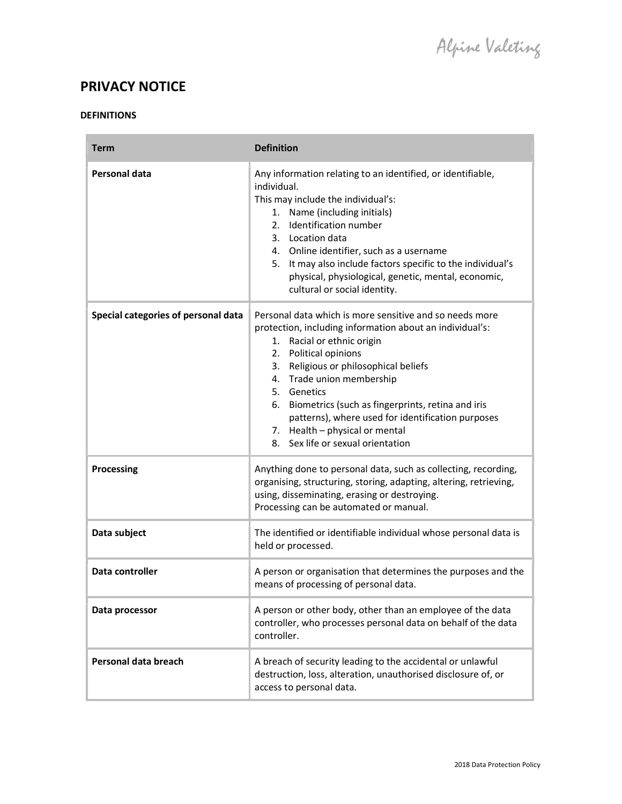# PRIVACY NOTICE

## DEFINITIONS

| <b>Term</b>                         | <b>Definition</b>                                                                                                                                                                                                                                                                                                                                                                                                                                   |
|-------------------------------------|-----------------------------------------------------------------------------------------------------------------------------------------------------------------------------------------------------------------------------------------------------------------------------------------------------------------------------------------------------------------------------------------------------------------------------------------------------|
| Personal data                       | Any information relating to an identified, or identifiable,<br>individual.<br>This may include the individual's:<br>1. Name (including initials)<br>2. Identification number<br>3. Location data<br>4. Online identifier, such as a username<br>5. It may also include factors specific to the individual's<br>physical, physiological, genetic, mental, economic,<br>cultural or social identity.                                                  |
| Special categories of personal data | Personal data which is more sensitive and so needs more<br>protection, including information about an individual's:<br>1. Racial or ethnic origin<br>2. Political opinions<br>3. Religious or philosophical beliefs<br>4. Trade union membership<br>5. Genetics<br>6. Biometrics (such as fingerprints, retina and iris<br>patterns), where used for identification purposes<br>7. Health - physical or mental<br>8. Sex life or sexual orientation |
| <b>Processing</b>                   | Anything done to personal data, such as collecting, recording,<br>organising, structuring, storing, adapting, altering, retrieving,<br>using, disseminating, erasing or destroying.<br>Processing can be automated or manual.                                                                                                                                                                                                                       |
| Data subject                        | The identified or identifiable individual whose personal data is<br>held or processed.                                                                                                                                                                                                                                                                                                                                                              |
| Data controller                     | A person or organisation that determines the purposes and the<br>means of processing of personal data.                                                                                                                                                                                                                                                                                                                                              |
| Data processor                      | A person or other body, other than an employee of the data<br>controller, who processes personal data on behalf of the data<br>controller.                                                                                                                                                                                                                                                                                                          |
| Personal data breach                | A breach of security leading to the accidental or unlawful<br>destruction, loss, alteration, unauthorised disclosure of, or<br>access to personal data.                                                                                                                                                                                                                                                                                             |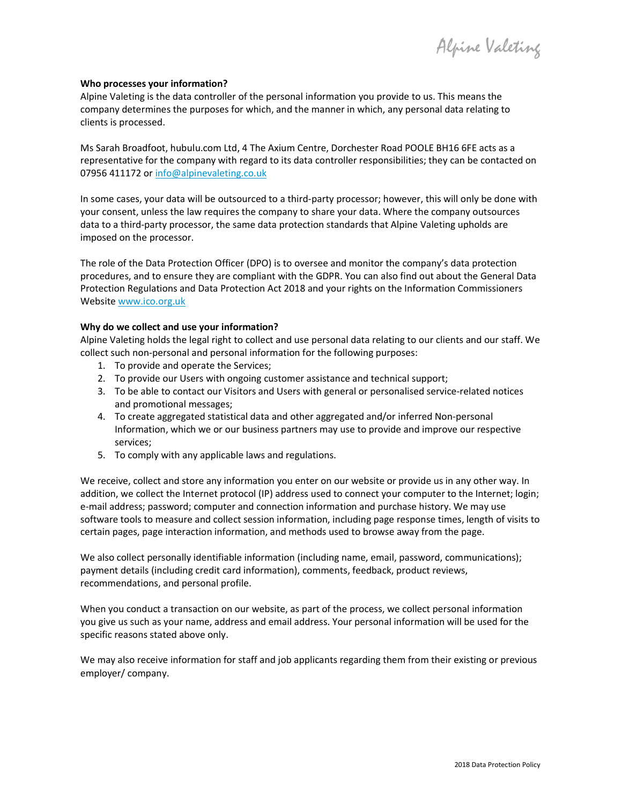Alpine Valeting

#### Who processes your information?

Alpine Valeting is the data controller of the personal information you provide to us. This means the company determines the purposes for which, and the manner in which, any personal data relating to clients is processed.

Ms Sarah Broadfoot, hubulu.com Ltd, 4 The Axium Centre, Dorchester Road POOLE BH16 6FE acts as a representative for the company with regard to its data controller responsibilities; they can be contacted on 07956 411172 or info@alpinevaleting.co.uk

In some cases, your data will be outsourced to a third-party processor; however, this will only be done with your consent, unless the law requires the company to share your data. Where the company outsources data to a third-party processor, the same data protection standards that Alpine Valeting upholds are imposed on the processor.

The role of the Data Protection Officer (DPO) is to oversee and monitor the company's data protection procedures, and to ensure they are compliant with the GDPR. You can also find out about the General Data Protection Regulations and Data Protection Act 2018 and your rights on the Information Commissioners Website www.ico.org.uk

#### Why do we collect and use your information?

Alpine Valeting holds the legal right to collect and use personal data relating to our clients and our staff. We collect such non-personal and personal information for the following purposes:

- 1. To provide and operate the Services;
- 2. To provide our Users with ongoing customer assistance and technical support;
- 3. To be able to contact our Visitors and Users with general or personalised service-related notices and promotional messages;
- 4. To create aggregated statistical data and other aggregated and/or inferred Non-personal Information, which we or our business partners may use to provide and improve our respective services;
- 5. To comply with any applicable laws and regulations.

We receive, collect and store any information you enter on our website or provide us in any other way. In addition, we collect the Internet protocol (IP) address used to connect your computer to the Internet; login; e-mail address; password; computer and connection information and purchase history. We may use software tools to measure and collect session information, including page response times, length of visits to certain pages, page interaction information, and methods used to browse away from the page.

We also collect personally identifiable information (including name, email, password, communications); payment details (including credit card information), comments, feedback, product reviews, recommendations, and personal profile.

When you conduct a transaction on our website, as part of the process, we collect personal information you give us such as your name, address and email address. Your personal information will be used for the specific reasons stated above only.

We may also receive information for staff and job applicants regarding them from their existing or previous employer/ company.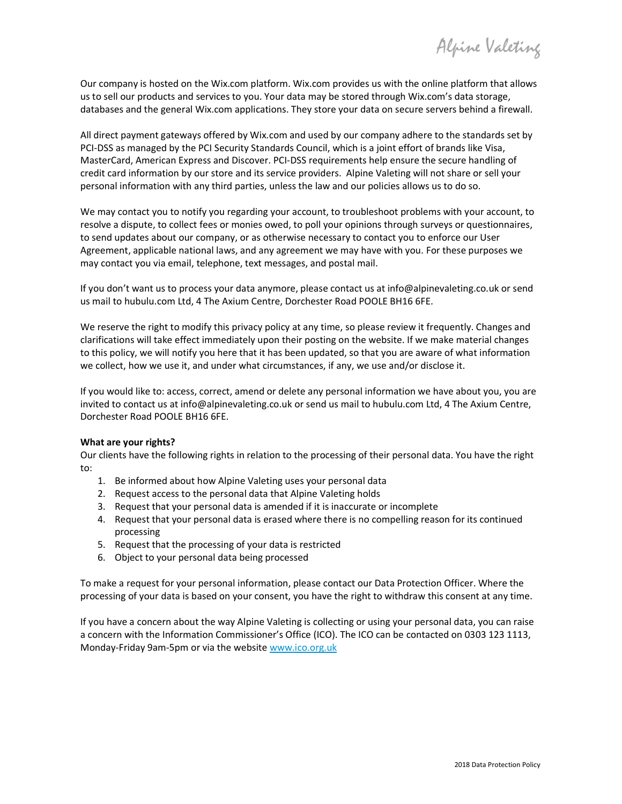Alpine Valeting

Our company is hosted on the Wix.com platform. Wix.com provides us with the online platform that allows us to sell our products and services to you. Your data may be stored through Wix.com's data storage, databases and the general Wix.com applications. They store your data on secure servers behind a firewall.

All direct payment gateways offered by Wix.com and used by our company adhere to the standards set by PCI-DSS as managed by the PCI Security Standards Council, which is a joint effort of brands like Visa, MasterCard, American Express and Discover. PCI-DSS requirements help ensure the secure handling of credit card information by our store and its service providers. Alpine Valeting will not share or sell your personal information with any third parties, unless the law and our policies allows us to do so.

We may contact you to notify you regarding your account, to troubleshoot problems with your account, to resolve a dispute, to collect fees or monies owed, to poll your opinions through surveys or questionnaires, to send updates about our company, or as otherwise necessary to contact you to enforce our User Agreement, applicable national laws, and any agreement we may have with you. For these purposes we may contact you via email, telephone, text messages, and postal mail.

If you don't want us to process your data anymore, please contact us at info@alpinevaleting.co.uk or send us mail to hubulu.com Ltd, 4 The Axium Centre, Dorchester Road POOLE BH16 6FE.

We reserve the right to modify this privacy policy at any time, so please review it frequently. Changes and clarifications will take effect immediately upon their posting on the website. If we make material changes to this policy, we will notify you here that it has been updated, so that you are aware of what information we collect, how we use it, and under what circumstances, if any, we use and/or disclose it.

If you would like to: access, correct, amend or delete any personal information we have about you, you are invited to contact us at info@alpinevaleting.co.uk or send us mail to hubulu.com Ltd, 4 The Axium Centre, Dorchester Road POOLE BH16 6FE.

#### What are your rights?

Our clients have the following rights in relation to the processing of their personal data. You have the right to:

- 1. Be informed about how Alpine Valeting uses your personal data
- 2. Request access to the personal data that Alpine Valeting holds
- 3. Request that your personal data is amended if it is inaccurate or incomplete
- 4. Request that your personal data is erased where there is no compelling reason for its continued processing
- 5. Request that the processing of your data is restricted
- 6. Object to your personal data being processed

To make a request for your personal information, please contact our Data Protection Officer. Where the processing of your data is based on your consent, you have the right to withdraw this consent at any time.

If you have a concern about the way Alpine Valeting is collecting or using your personal data, you can raise a concern with the Information Commissioner's Office (ICO). The ICO can be contacted on 0303 123 1113, Monday-Friday 9am-5pm or via the website www.ico.org.uk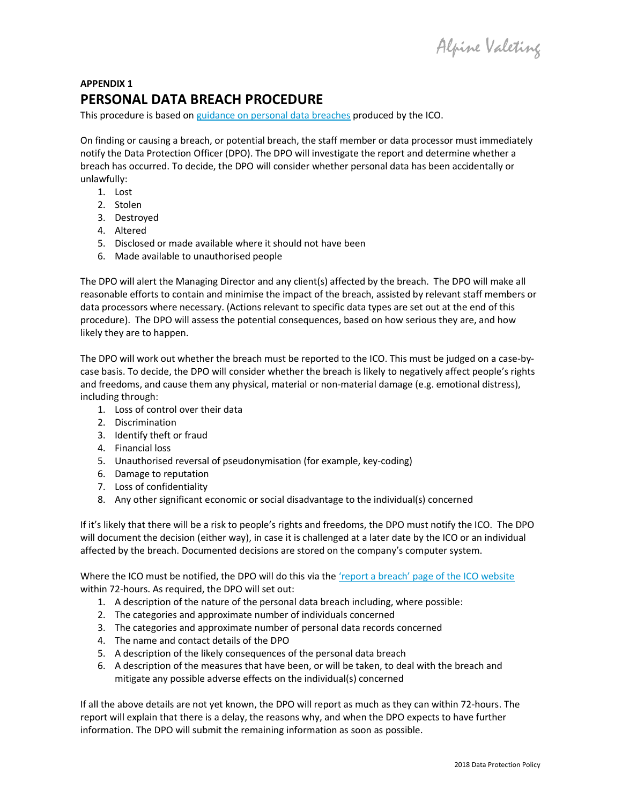Alpine Valeting

## APPENDIX 1 PERSONAL DATA BREACH PROCEDURE

This procedure is based on guidance on personal data breaches produced by the ICO.

On finding or causing a breach, or potential breach, the staff member or data processor must immediately notify the Data Protection Officer (DPO). The DPO will investigate the report and determine whether a breach has occurred. To decide, the DPO will consider whether personal data has been accidentally or unlawfully:

- 1. Lost
- 2. Stolen
- 3. Destroyed
- 4. Altered
- 5. Disclosed or made available where it should not have been
- 6. Made available to unauthorised people

The DPO will alert the Managing Director and any client(s) affected by the breach. The DPO will make all reasonable efforts to contain and minimise the impact of the breach, assisted by relevant staff members or data processors where necessary. (Actions relevant to specific data types are set out at the end of this procedure). The DPO will assess the potential consequences, based on how serious they are, and how likely they are to happen.

The DPO will work out whether the breach must be reported to the ICO. This must be judged on a case-bycase basis. To decide, the DPO will consider whether the breach is likely to negatively affect people's rights and freedoms, and cause them any physical, material or non-material damage (e.g. emotional distress), including through:

- 1. Loss of control over their data
- 2. Discrimination
- 3. Identify theft or fraud
- 4. Financial loss
- 5. Unauthorised reversal of pseudonymisation (for example, key-coding)
- 6. Damage to reputation
- 7. Loss of confidentiality
- 8. Any other significant economic or social disadvantage to the individual(s) concerned

If it's likely that there will be a risk to people's rights and freedoms, the DPO must notify the ICO. The DPO will document the decision (either way), in case it is challenged at a later date by the ICO or an individual affected by the breach. Documented decisions are stored on the company's computer system.

Where the ICO must be notified, the DPO will do this via the 'report a breach' page of the ICO website within 72-hours. As required, the DPO will set out:

- 1. A description of the nature of the personal data breach including, where possible:
- 2. The categories and approximate number of individuals concerned
- 3. The categories and approximate number of personal data records concerned
- 4. The name and contact details of the DPO
- 5. A description of the likely consequences of the personal data breach
- 6. A description of the measures that have been, or will be taken, to deal with the breach and mitigate any possible adverse effects on the individual(s) concerned

If all the above details are not yet known, the DPO will report as much as they can within 72-hours. The report will explain that there is a delay, the reasons why, and when the DPO expects to have further information. The DPO will submit the remaining information as soon as possible.